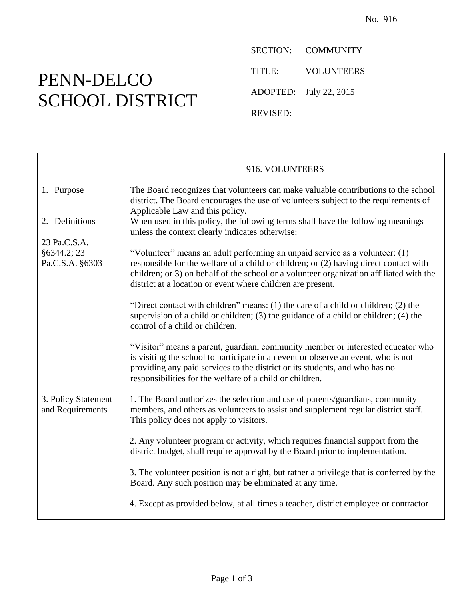## PENN-DELCO SCHOOL DISTRICT

SECTION: COMMUNITY TITLE: VOLUNTEERS ADOPTED: July 22, 2015 REVISED:

|                                                                           | 916. VOLUNTEERS                                                                                                                                                                                                                                                                                                                |
|---------------------------------------------------------------------------|--------------------------------------------------------------------------------------------------------------------------------------------------------------------------------------------------------------------------------------------------------------------------------------------------------------------------------|
| 1. Purpose                                                                | The Board recognizes that volunteers can make valuable contributions to the school<br>district. The Board encourages the use of volunteers subject to the requirements of<br>Applicable Law and this policy.                                                                                                                   |
| 2. Definitions                                                            | When used in this policy, the following terms shall have the following meanings<br>unless the context clearly indicates otherwise:                                                                                                                                                                                             |
| 23 Pa.C.S.A.                                                              |                                                                                                                                                                                                                                                                                                                                |
| §6344.2; 23<br>Pa.C.S.A. §6303<br>3. Policy Statement<br>and Requirements | "Volunteer" means an adult performing an unpaid service as a volunteer: (1)<br>responsible for the welfare of a child or children; or (2) having direct contact with<br>children; or 3) on behalf of the school or a volunteer organization affiliated with the<br>district at a location or event where children are present. |
|                                                                           | "Direct contact with children" means: (1) the care of a child or children; (2) the<br>supervision of a child or children; $(3)$ the guidance of a child or children; $(4)$ the<br>control of a child or children.                                                                                                              |
|                                                                           | "Visitor" means a parent, guardian, community member or interested educator who<br>is visiting the school to participate in an event or observe an event, who is not<br>providing any paid services to the district or its students, and who has no<br>responsibilities for the welfare of a child or children.                |
|                                                                           | 1. The Board authorizes the selection and use of parents/guardians, community<br>members, and others as volunteers to assist and supplement regular district staff.<br>This policy does not apply to visitors.                                                                                                                 |
|                                                                           | 2. Any volunteer program or activity, which requires financial support from the<br>district budget, shall require approval by the Board prior to implementation.                                                                                                                                                               |
|                                                                           | 3. The volunteer position is not a right, but rather a privilege that is conferred by the<br>Board. Any such position may be eliminated at any time.                                                                                                                                                                           |
|                                                                           | 4. Except as provided below, at all times a teacher, district employee or contractor                                                                                                                                                                                                                                           |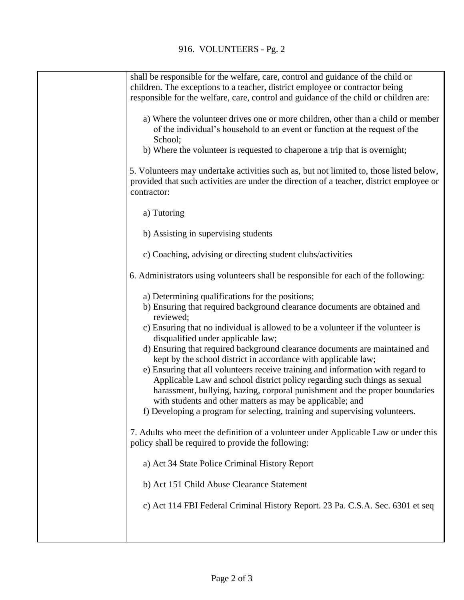| shall be responsible for the welfare, care, control and guidance of the child or<br>children. The exceptions to a teacher, district employee or contractor being                                                                                                                                                                                                                                                                                                                                                                                                                                                                                                                                                                                                                                                |
|-----------------------------------------------------------------------------------------------------------------------------------------------------------------------------------------------------------------------------------------------------------------------------------------------------------------------------------------------------------------------------------------------------------------------------------------------------------------------------------------------------------------------------------------------------------------------------------------------------------------------------------------------------------------------------------------------------------------------------------------------------------------------------------------------------------------|
| responsible for the welfare, care, control and guidance of the child or children are:                                                                                                                                                                                                                                                                                                                                                                                                                                                                                                                                                                                                                                                                                                                           |
| a) Where the volunteer drives one or more children, other than a child or member<br>of the individual's household to an event or function at the request of the<br>School;<br>b) Where the volunteer is requested to chaperone a trip that is overnight;                                                                                                                                                                                                                                                                                                                                                                                                                                                                                                                                                        |
|                                                                                                                                                                                                                                                                                                                                                                                                                                                                                                                                                                                                                                                                                                                                                                                                                 |
| 5. Volunteers may undertake activities such as, but not limited to, those listed below,<br>provided that such activities are under the direction of a teacher, district employee or<br>contractor:                                                                                                                                                                                                                                                                                                                                                                                                                                                                                                                                                                                                              |
| a) Tutoring                                                                                                                                                                                                                                                                                                                                                                                                                                                                                                                                                                                                                                                                                                                                                                                                     |
| b) Assisting in supervising students                                                                                                                                                                                                                                                                                                                                                                                                                                                                                                                                                                                                                                                                                                                                                                            |
| c) Coaching, advising or directing student clubs/activities                                                                                                                                                                                                                                                                                                                                                                                                                                                                                                                                                                                                                                                                                                                                                     |
| 6. Administrators using volunteers shall be responsible for each of the following:                                                                                                                                                                                                                                                                                                                                                                                                                                                                                                                                                                                                                                                                                                                              |
| a) Determining qualifications for the positions;<br>b) Ensuring that required background clearance documents are obtained and<br>reviewed;<br>c) Ensuring that no individual is allowed to be a volunteer if the volunteer is<br>disqualified under applicable law;<br>d) Ensuring that required background clearance documents are maintained and<br>kept by the school district in accordance with applicable law;<br>e) Ensuring that all volunteers receive training and information with regard to<br>Applicable Law and school district policy regarding such things as sexual<br>harassment, bullying, hazing, corporal punishment and the proper boundaries<br>with students and other matters as may be applicable; and<br>f) Developing a program for selecting, training and supervising volunteers. |
| 7. Adults who meet the definition of a volunteer under Applicable Law or under this<br>policy shall be required to provide the following:                                                                                                                                                                                                                                                                                                                                                                                                                                                                                                                                                                                                                                                                       |
| a) Act 34 State Police Criminal History Report                                                                                                                                                                                                                                                                                                                                                                                                                                                                                                                                                                                                                                                                                                                                                                  |
| b) Act 151 Child Abuse Clearance Statement                                                                                                                                                                                                                                                                                                                                                                                                                                                                                                                                                                                                                                                                                                                                                                      |
| c) Act 114 FBI Federal Criminal History Report. 23 Pa. C.S.A. Sec. 6301 et seq                                                                                                                                                                                                                                                                                                                                                                                                                                                                                                                                                                                                                                                                                                                                  |
|                                                                                                                                                                                                                                                                                                                                                                                                                                                                                                                                                                                                                                                                                                                                                                                                                 |